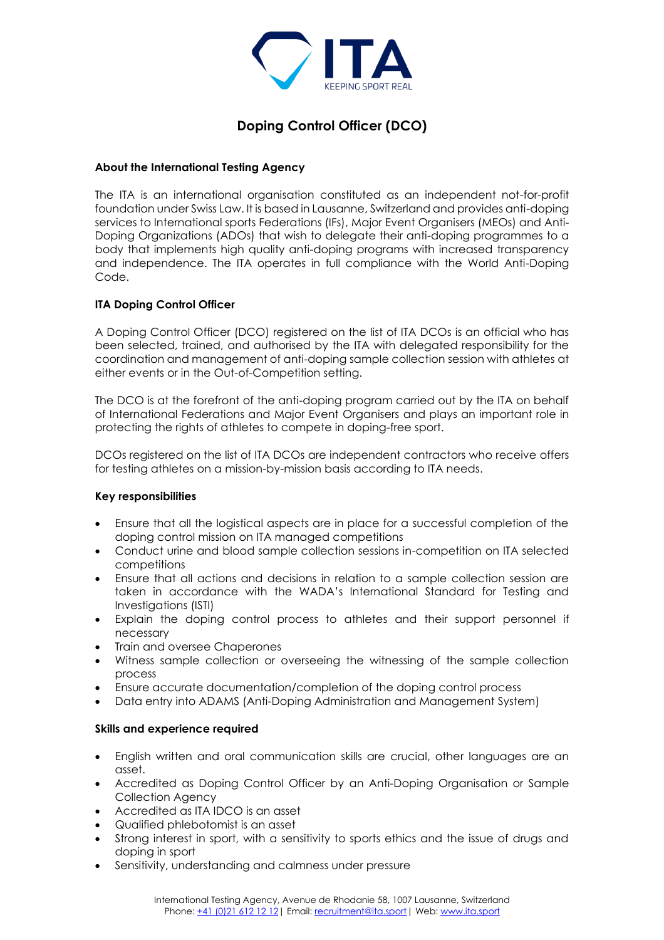

# **Doping Control Officer (DCO)**

# **About the International Testing Agency**

The ITA is an international organisation constituted as an independent not-for-profit foundation under Swiss Law. It is based in Lausanne, Switzerland and provides anti-doping services to International sports Federations (IFs), Major Event Organisers (MEOs) and Anti-Doping Organizations (ADOs) that wish to delegate their anti-doping programmes to a body that implements high quality anti-doping programs with increased transparency and independence. The ITA operates in full compliance with the World Anti-Doping Code.

# **ITA Doping Control Officer**

A Doping Control Officer (DCO) registered on the list of ITA DCOs is an official who has been selected, trained, and authorised by the ITA with delegated responsibility for the coordination and management of anti-doping sample collection session with athletes at either events or in the Out-of-Competition setting.

The DCO is at the forefront of the anti-doping program carried out by the ITA on behalf of International Federations and Major Event Organisers and plays an important role in protecting the rights of athletes to compete in doping-free sport.

DCOs registered on the list of ITA DCOs are independent contractors who receive offers for testing athletes on a mission-by-mission basis according to ITA needs.

### **Key responsibilities**

- Ensure that all the logistical aspects are in place for a successful completion of the doping control mission on ITA managed competitions
- Conduct urine and blood sample collection sessions in-competition on ITA selected competitions
- Ensure that all actions and decisions in relation to a sample collection session are taken in accordance with the WADA's International Standard for Testing and Investigations (ISTI)
- Explain the doping control process to athletes and their support personnel if necessary
- Train and oversee Chaperones
- Witness sample collection or overseeing the witnessing of the sample collection process
- Ensure accurate documentation/completion of the doping control process
- Data entry into ADAMS (Anti-Doping Administration and Management System)

### **Skills and experience required**

- English written and oral communication skills are crucial, other languages are an asset.
- Accredited as Doping Control Officer by an Anti-Doping Organisation or Sample Collection Agency
- Accredited as ITA IDCO is an asset
- Qualified phlebotomist is an asset
- Strong interest in sport, with a sensitivity to sports ethics and the issue of drugs and doping in sport
- Sensitivity, understanding and calmness under pressure